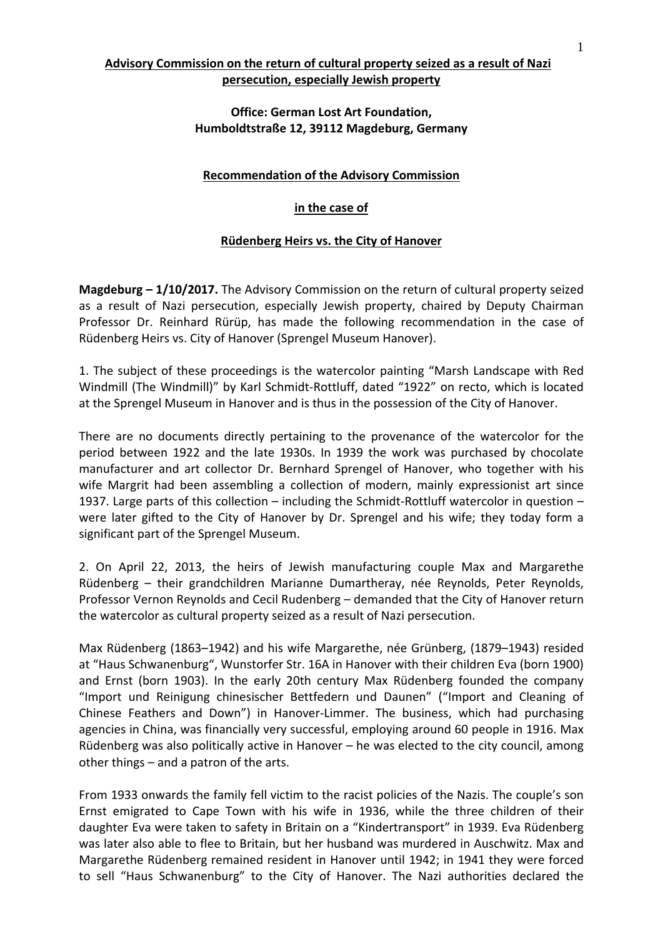# **Advisory Commission on the return of cultural property seized as a result of Nazi persecution, especially Jewish property**

## **Office: German Lost Art Foundation, Humboldtstraße 12, 39112 Magdeburg, Germany**

### **Recommendation of the Advisory Commission**

### **in the case of**

## **Rüdenberg Heirs vs. the City of Hanover**

**Magdeburg – 1/10/2017.** The Advisory Commission on the return of cultural property seized as a result of Nazi persecution, especially Jewish property, chaired by Deputy Chairman Professor Dr. Reinhard Rürüp, has made the following recommendation in the case of Rüdenberg Heirs vs. City of Hanover (Sprengel Museum Hanover).

1. The subject of these proceedings is the watercolor painting "Marsh Landscape with Red Windmill (The Windmill)" by Karl Schmidt‐Rottluff, dated "1922" on recto, which is located at the Sprengel Museum in Hanover and is thus in the possession of the City of Hanover.

There are no documents directly pertaining to the provenance of the watercolor for the period between 1922 and the late 1930s. In 1939 the work was purchased by chocolate manufacturer and art collector Dr. Bernhard Sprengel of Hanover, who together with his wife Margrit had been assembling a collection of modern, mainly expressionist art since 1937. Large parts of this collection – including the Schmidt-Rottluff watercolor in question – were later gifted to the City of Hanover by Dr. Sprengel and his wife; they today form a significant part of the Sprengel Museum.

2. On April 22, 2013, the heirs of Jewish manufacturing couple Max and Margarethe Rüdenberg – their grandchildren Marianne Dumartheray, née Reynolds, Peter Reynolds, Professor Vernon Reynolds and Cecil Rudenberg – demanded that the City of Hanover return the watercolor as cultural property seized as a result of Nazi persecution.

Max Rüdenberg (1863–1942) and his wife Margarethe, née Grünberg, (1879–1943) resided at "Haus Schwanenburg", Wunstorfer Str. 16A in Hanover with their children Eva (born 1900) and Ernst (born 1903). In the early 20th century Max Rüdenberg founded the company "Import und Reinigung chinesischer Bettfedern und Daunen" ("Import and Cleaning of Chinese Feathers and Down") in Hanover‐Limmer. The business, which had purchasing agencies in China, was financially very successful, employing around 60 people in 1916. Max Rüdenberg was also politically active in Hanover – he was elected to the city council, among other things – and a patron of the arts.

From 1933 onwards the family fell victim to the racist policies of the Nazis. The couple's son Ernst emigrated to Cape Town with his wife in 1936, while the three children of their daughter Eva were taken to safety in Britain on a "Kindertransport" in 1939. Eva Rüdenberg was later also able to flee to Britain, but her husband was murdered in Auschwitz. Max and Margarethe Rüdenberg remained resident in Hanover until 1942; in 1941 they were forced to sell "Haus Schwanenburg" to the City of Hanover. The Nazi authorities declared the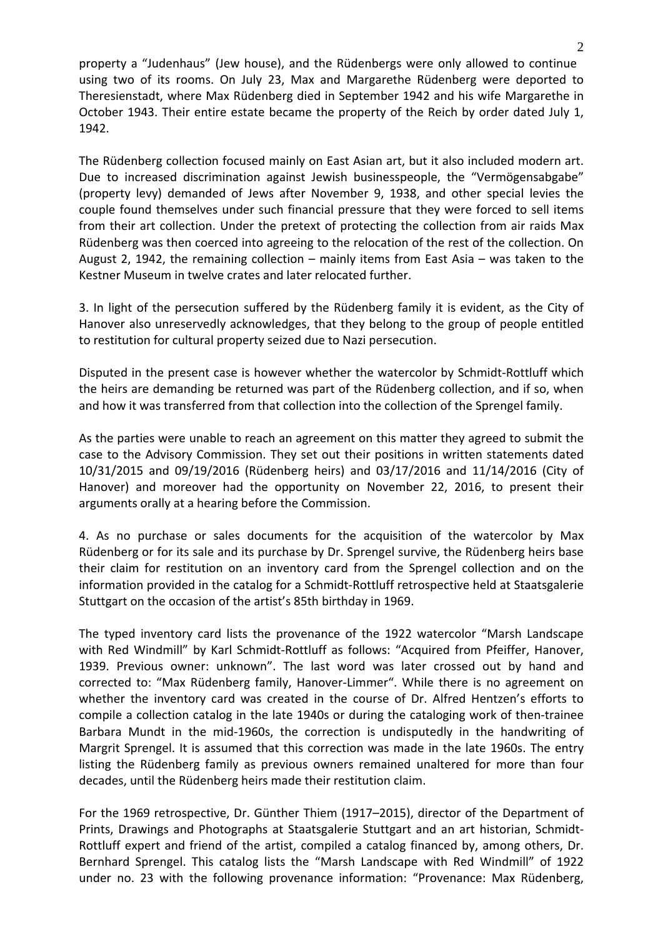property a "Judenhaus" (Jew house), and the Rüdenbergs were only allowed to continue using two of its rooms. On July 23, Max and Margarethe Rüdenberg were deported to Theresienstadt, where Max Rüdenberg died in September 1942 and his wife Margarethe in October 1943. Their entire estate became the property of the Reich by order dated July 1, 1942.

The Rüdenberg collection focused mainly on East Asian art, but it also included modern art. Due to increased discrimination against Jewish businesspeople, the "Vermögensabgabe" (property levy) demanded of Jews after November 9, 1938, and other special levies the couple found themselves under such financial pressure that they were forced to sell items from their art collection. Under the pretext of protecting the collection from air raids Max Rüdenberg was then coerced into agreeing to the relocation of the rest of the collection. On August 2, 1942, the remaining collection – mainly items from East Asia – was taken to the Kestner Museum in twelve crates and later relocated further.

3. In light of the persecution suffered by the Rüdenberg family it is evident, as the City of Hanover also unreservedly acknowledges, that they belong to the group of people entitled to restitution for cultural property seized due to Nazi persecution.

Disputed in the present case is however whether the watercolor by Schmidt‐Rottluff which the heirs are demanding be returned was part of the Rüdenberg collection, and if so, when and how it was transferred from that collection into the collection of the Sprengel family.

As the parties were unable to reach an agreement on this matter they agreed to submit the case to the Advisory Commission. They set out their positions in written statements dated 10/31/2015 and 09/19/2016 (Rüdenberg heirs) and 03/17/2016 and 11/14/2016 (City of Hanover) and moreover had the opportunity on November 22, 2016, to present their arguments orally at a hearing before the Commission.

4. As no purchase or sales documents for the acquisition of the watercolor by Max Rüdenberg or for its sale and its purchase by Dr. Sprengel survive, the Rüdenberg heirs base their claim for restitution on an inventory card from the Sprengel collection and on the information provided in the catalog for a Schmidt‐Rottluff retrospective held at Staatsgalerie Stuttgart on the occasion of the artist's 85th birthday in 1969.

The typed inventory card lists the provenance of the 1922 watercolor "Marsh Landscape with Red Windmill" by Karl Schmidt-Rottluff as follows: "Acquired from Pfeiffer, Hanover, 1939. Previous owner: unknown". The last word was later crossed out by hand and corrected to: "Max Rüdenberg family, Hanover‐Limmer". While there is no agreement on whether the inventory card was created in the course of Dr. Alfred Hentzen's efforts to compile a collection catalog in the late 1940s or during the cataloging work of then‐trainee Barbara Mundt in the mid‐1960s, the correction is undisputedly in the handwriting of Margrit Sprengel. It is assumed that this correction was made in the late 1960s. The entry listing the Rüdenberg family as previous owners remained unaltered for more than four decades, until the Rüdenberg heirs made their restitution claim.

For the 1969 retrospective, Dr. Günther Thiem (1917–2015), director of the Department of Prints, Drawings and Photographs at Staatsgalerie Stuttgart and an art historian, Schmidt‐ Rottluff expert and friend of the artist, compiled a catalog financed by, among others, Dr. Bernhard Sprengel. This catalog lists the "Marsh Landscape with Red Windmill" of 1922 under no. 23 with the following provenance information: "Provenance: Max Rüdenberg,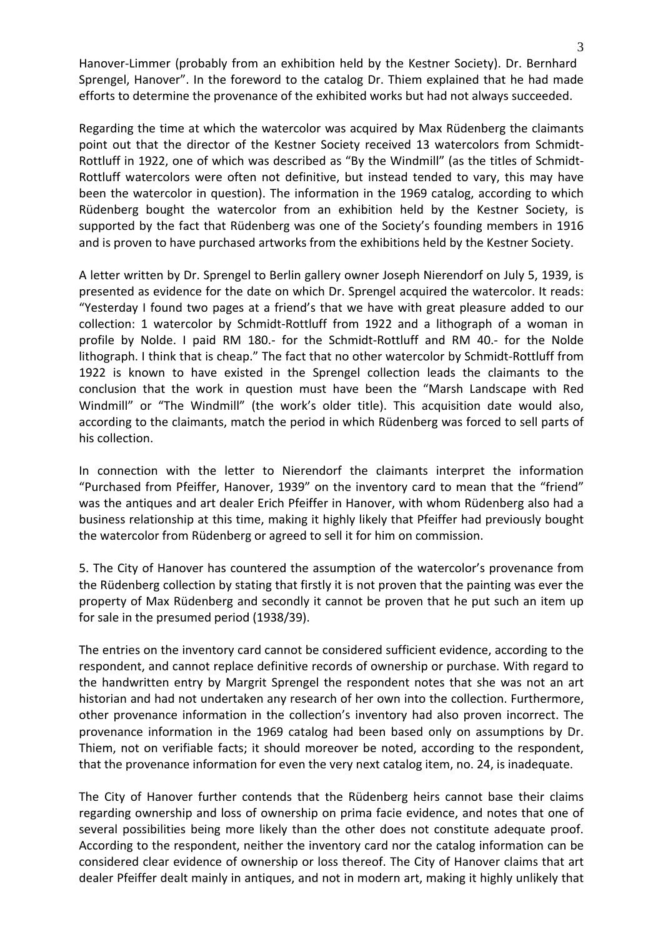Hanover-Limmer (probably from an exhibition held by the Kestner Society). Dr. Bernhard Sprengel, Hanover". In the foreword to the catalog Dr. Thiem explained that he had made efforts to determine the provenance of the exhibited works but had not always succeeded.

Regarding the time at which the watercolor was acquired by Max Rüdenberg the claimants point out that the director of the Kestner Society received 13 watercolors from Schmidt-Rottluff in 1922, one of which was described as "By the Windmill" (as the titles of Schmidt‐ Rottluff watercolors were often not definitive, but instead tended to vary, this may have been the watercolor in question). The information in the 1969 catalog, according to which Rüdenberg bought the watercolor from an exhibition held by the Kestner Society, is supported by the fact that Rüdenberg was one of the Society's founding members in 1916 and is proven to have purchased artworks from the exhibitions held by the Kestner Society.

A letter written by Dr. Sprengel to Berlin gallery owner Joseph Nierendorf on July 5, 1939, is presented as evidence for the date on which Dr. Sprengel acquired the watercolor. It reads: "Yesterday I found two pages at a friend's that we have with great pleasure added to our collection: 1 watercolor by Schmidt‐Rottluff from 1922 and a lithograph of a woman in profile by Nolde. I paid RM 180.‐ for the Schmidt‐Rottluff and RM 40.‐ for the Nolde lithograph. I think that is cheap." The fact that no other watercolor by Schmidt‐Rottluff from 1922 is known to have existed in the Sprengel collection leads the claimants to the conclusion that the work in question must have been the "Marsh Landscape with Red Windmill" or "The Windmill" (the work's older title). This acquisition date would also, according to the claimants, match the period in which Rüdenberg was forced to sell parts of his collection.

In connection with the letter to Nierendorf the claimants interpret the information "Purchased from Pfeiffer, Hanover, 1939" on the inventory card to mean that the "friend" was the antiques and art dealer Erich Pfeiffer in Hanover, with whom Rüdenberg also had a business relationship at this time, making it highly likely that Pfeiffer had previously bought the watercolor from Rüdenberg or agreed to sell it for him on commission.

5. The City of Hanover has countered the assumption of the watercolor's provenance from the Rüdenberg collection by stating that firstly it is not proven that the painting was ever the property of Max Rüdenberg and secondly it cannot be proven that he put such an item up for sale in the presumed period (1938/39).

The entries on the inventory card cannot be considered sufficient evidence, according to the respondent, and cannot replace definitive records of ownership or purchase. With regard to the handwritten entry by Margrit Sprengel the respondent notes that she was not an art historian and had not undertaken any research of her own into the collection. Furthermore, other provenance information in the collection's inventory had also proven incorrect. The provenance information in the 1969 catalog had been based only on assumptions by Dr. Thiem, not on verifiable facts; it should moreover be noted, according to the respondent, that the provenance information for even the very next catalog item, no. 24, is inadequate.

The City of Hanover further contends that the Rüdenberg heirs cannot base their claims regarding ownership and loss of ownership on prima facie evidence, and notes that one of several possibilities being more likely than the other does not constitute adequate proof. According to the respondent, neither the inventory card nor the catalog information can be considered clear evidence of ownership or loss thereof. The City of Hanover claims that art dealer Pfeiffer dealt mainly in antiques, and not in modern art, making it highly unlikely that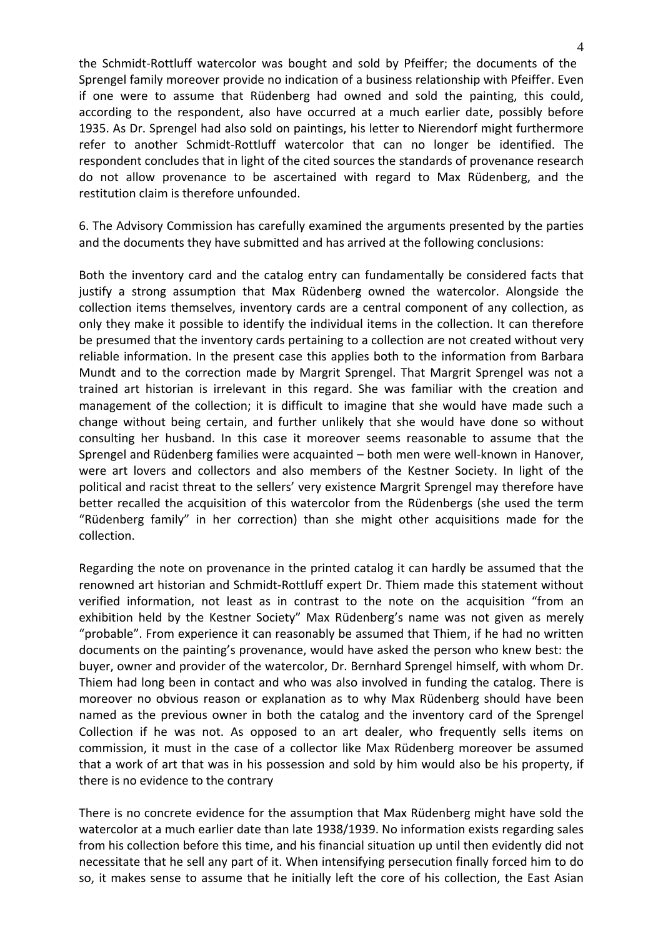the Schmidt‐Rottluff watercolor was bought and sold by Pfeiffer; the documents of the Sprengel family moreover provide no indication of a business relationship with Pfeiffer. Even if one were to assume that Rüdenberg had owned and sold the painting, this could, according to the respondent, also have occurred at a much earlier date, possibly before 1935. As Dr. Sprengel had also sold on paintings, his letter to Nierendorf might furthermore refer to another Schmidt‐Rottluff watercolor that can no longer be identified. The respondent concludes that in light of the cited sources the standards of provenance research do not allow provenance to be ascertained with regard to Max Rüdenberg, and the restitution claim is therefore unfounded.

6. The Advisory Commission has carefully examined the arguments presented by the parties and the documents they have submitted and has arrived at the following conclusions:

Both the inventory card and the catalog entry can fundamentally be considered facts that justify a strong assumption that Max Rüdenberg owned the watercolor. Alongside the collection items themselves, inventory cards are a central component of any collection, as only they make it possible to identify the individual items in the collection. It can therefore be presumed that the inventory cards pertaining to a collection are not created without very reliable information. In the present case this applies both to the information from Barbara Mundt and to the correction made by Margrit Sprengel. That Margrit Sprengel was not a trained art historian is irrelevant in this regard. She was familiar with the creation and management of the collection; it is difficult to imagine that she would have made such a change without being certain, and further unlikely that she would have done so without consulting her husband. In this case it moreover seems reasonable to assume that the Sprengel and Rüdenberg families were acquainted – both men were well‐known in Hanover, were art lovers and collectors and also members of the Kestner Society. In light of the political and racist threat to the sellers' very existence Margrit Sprengel may therefore have better recalled the acquisition of this watercolor from the Rüdenbergs (she used the term "Rüdenberg family" in her correction) than she might other acquisitions made for the collection.

Regarding the note on provenance in the printed catalog it can hardly be assumed that the renowned art historian and Schmidt‐Rottluff expert Dr. Thiem made this statement without verified information, not least as in contrast to the note on the acquisition "from an exhibition held by the Kestner Society" Max Rüdenberg's name was not given as merely "probable". From experience it can reasonably be assumed that Thiem, if he had no written documents on the painting's provenance, would have asked the person who knew best: the buyer, owner and provider of the watercolor, Dr. Bernhard Sprengel himself, with whom Dr. Thiem had long been in contact and who was also involved in funding the catalog. There is moreover no obvious reason or explanation as to why Max Rüdenberg should have been named as the previous owner in both the catalog and the inventory card of the Sprengel Collection if he was not. As opposed to an art dealer, who frequently sells items on commission, it must in the case of a collector like Max Rüdenberg moreover be assumed that a work of art that was in his possession and sold by him would also be his property, if there is no evidence to the contrary

There is no concrete evidence for the assumption that Max Rüdenberg might have sold the watercolor at a much earlier date than late 1938/1939. No information exists regarding sales from his collection before this time, and his financial situation up until then evidently did not necessitate that he sell any part of it. When intensifying persecution finally forced him to do so, it makes sense to assume that he initially left the core of his collection, the East Asian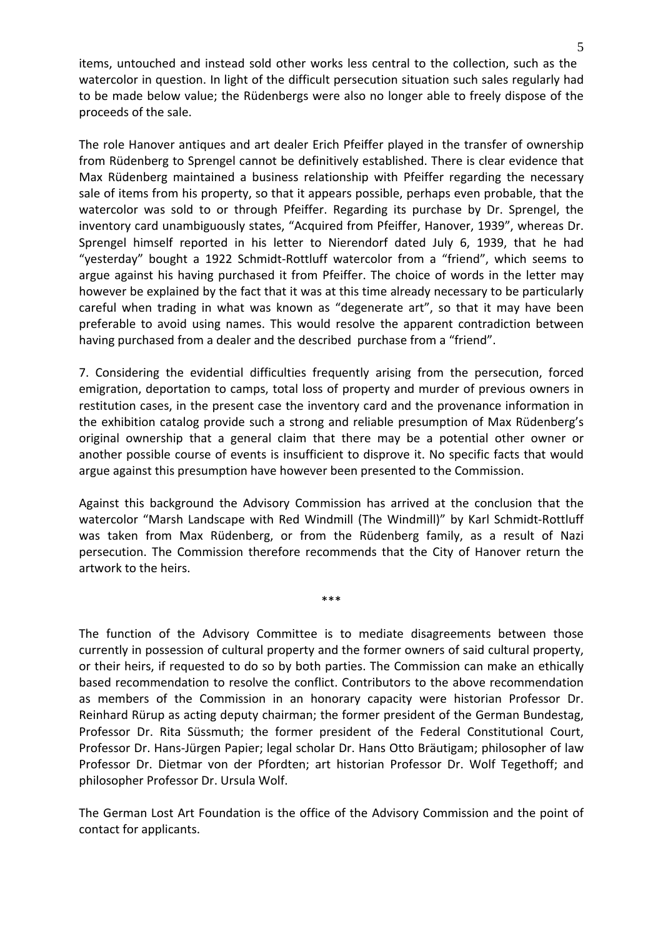items, untouched and instead sold other works less central to the collection, such as the watercolor in question. In light of the difficult persecution situation such sales regularly had to be made below value; the Rüdenbergs were also no longer able to freely dispose of the proceeds of the sale.

The role Hanover antiques and art dealer Erich Pfeiffer played in the transfer of ownership from Rüdenberg to Sprengel cannot be definitively established. There is clear evidence that Max Rüdenberg maintained a business relationship with Pfeiffer regarding the necessary sale of items from his property, so that it appears possible, perhaps even probable, that the watercolor was sold to or through Pfeiffer. Regarding its purchase by Dr. Sprengel, the inventory card unambiguously states, "Acquired from Pfeiffer, Hanover, 1939", whereas Dr. Sprengel himself reported in his letter to Nierendorf dated July 6, 1939, that he had "yesterday" bought a 1922 Schmidt‐Rottluff watercolor from a "friend", which seems to argue against his having purchased it from Pfeiffer. The choice of words in the letter may however be explained by the fact that it was at this time already necessary to be particularly careful when trading in what was known as "degenerate art", so that it may have been preferable to avoid using names. This would resolve the apparent contradiction between having purchased from a dealer and the described purchase from a "friend".

7. Considering the evidential difficulties frequently arising from the persecution, forced emigration, deportation to camps, total loss of property and murder of previous owners in restitution cases, in the present case the inventory card and the provenance information in the exhibition catalog provide such a strong and reliable presumption of Max Rüdenberg's original ownership that a general claim that there may be a potential other owner or another possible course of events is insufficient to disprove it. No specific facts that would argue against this presumption have however been presented to the Commission.

Against this background the Advisory Commission has arrived at the conclusion that the watercolor "Marsh Landscape with Red Windmill (The Windmill)" by Karl Schmidt-Rottluff was taken from Max Rüdenberg, or from the Rüdenberg family, as a result of Nazi persecution. The Commission therefore recommends that the City of Hanover return the artwork to the heirs.

\*\*\*

The function of the Advisory Committee is to mediate disagreements between those currently in possession of cultural property and the former owners of said cultural property, or their heirs, if requested to do so by both parties. The Commission can make an ethically based recommendation to resolve the conflict. Contributors to the above recommendation as members of the Commission in an honorary capacity were historian Professor Dr. Reinhard Rürup as acting deputy chairman; the former president of the German Bundestag, Professor Dr. Rita Süssmuth; the former president of the Federal Constitutional Court, Professor Dr. Hans‐Jürgen Papier; legal scholar Dr. Hans Otto Bräutigam; philosopher of law Professor Dr. Dietmar von der Pfordten; art historian Professor Dr. Wolf Tegethoff; and philosopher Professor Dr. Ursula Wolf.

The German Lost Art Foundation is the office of the Advisory Commission and the point of contact for applicants.